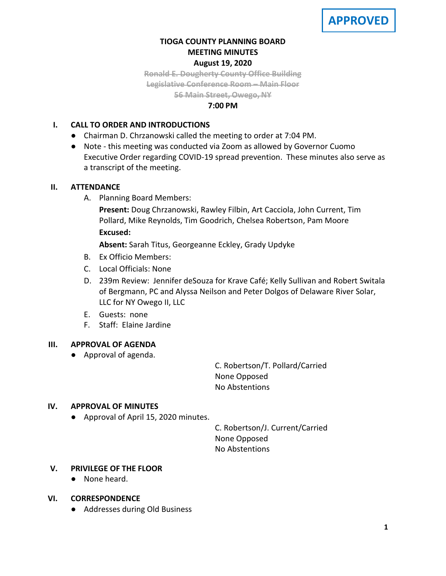## **TIOGA COUNTY PLANNING BOARD MEETING MINUTES August 19, 2020**

**Ronald E. Dougherty County Office Building Legislative Conference Room – Main Floor**

**56 Main Street, Owego, NY**

## **7:00 PM**

## **I. CALL TO ORDER AND INTRODUCTIONS**

- Chairman D. Chrzanowski called the meeting to order at 7:04 PM.
- Note this meeting was conducted via Zoom as allowed by Governor Cuomo Executive Order regarding COVID-19 spread prevention. These minutes also serve as a transcript of the meeting.

## **II. ATTENDANCE**

A. Planning Board Members:

**Present:** Doug Chrzanowski, Rawley Filbin, Art Cacciola, John Current, Tim Pollard, Mike Reynolds, Tim Goodrich, Chelsea Robertson, Pam Moore **Excused:**

**Absent:** Sarah Titus, Georgeanne Eckley, Grady Updyke

- B. Ex Officio Members:
- C. Local Officials: None
- D. 239m Review: Jennifer deSouza for Krave Café; Kelly Sullivan and Robert Switala of Bergmann, PC and Alyssa Neilson and Peter Dolgos of Delaware River Solar, LLC for NY Owego II, LLC
- E. Guests: none
- F. Staff: Elaine Jardine

## **III. APPROVAL OF AGENDA**

● Approval of agenda.

C. Robertson/T. Pollard/Carried None Opposed No Abstentions

## **IV. APPROVAL OF MINUTES**

● Approval of April 15, 2020 minutes.

C. Robertson/J. Current/Carried None Opposed No Abstentions

## **V. PRIVILEGE OF THE FLOOR**

● None heard.

## **VI. CORRESPONDENCE**

● Addresses during Old Business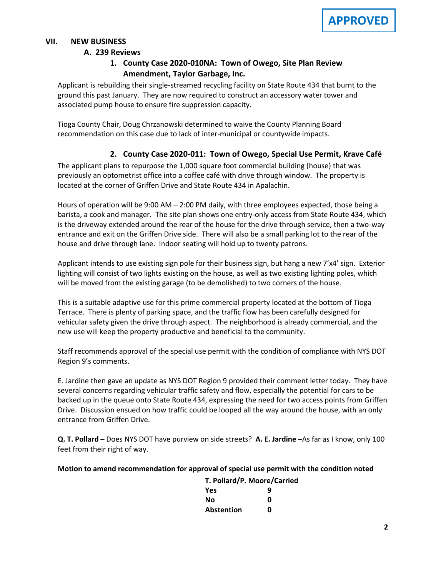## **VII. NEW BUSINESS**

#### **A. A. 239 Reviews**

## **1. County Case 2020-010NA: Town of Owego, Site Plan Review Amendment, Taylor Garbage, Inc.**

Applicant is rebuilding their single-streamed recycling facility on State Route 434 that burnt to the ground this past January. They are now required to construct an accessory water tower and associated pump house to ensure fire suppression capacity.

Tioga County Chair, Doug Chrzanowski determined to waive the County Planning Board recommendation on this case due to lack of inter-municipal or countywide impacts.

# **2. County Case 2020-011: Town of Owego, Special Use Permit, Krave Café**

The applicant plans to repurpose the 1,000 square foot commercial building (house) that was previously an optometrist office into a coffee café with drive through window. The property is located at the corner of Griffen Drive and State Route 434 in Apalachin.

Hours of operation will be 9:00 AM – 2:00 PM daily, with three employees expected, those being a barista, a cook and manager. The site plan shows one entry-only access from State Route 434, which is the driveway extended around the rear of the house for the drive through service, then a two-way entrance and exit on the Griffen Drive side. There will also be a small parking lot to the rear of the house and drive through lane. Indoor seating will hold up to twenty patrons.

Applicant intends to use existing sign pole for their business sign, but hang a new 7'x4' sign. Exterior lighting will consist of two lights existing on the house, as well as two existing lighting poles, which will be moved from the existing garage (to be demolished) to two corners of the house.

This is a suitable adaptive use for this prime commercial property located at the bottom of Tioga Terrace. There is plenty of parking space, and the traffic flow has been carefully designed for vehicular safety given the drive through aspect. The neighborhood is already commercial, and the new use will keep the property productive and beneficial to the community.

Staff recommends approval of the special use permit with the condition of compliance with NYS DOT Region 9's comments.

E. Jardine then gave an update as NYS DOT Region 9 provided their comment letter today. They have several concerns regarding vehicular traffic safety and flow, especially the potential for cars to be backed up in the queue onto State Route 434, expressing the need for two access points from Griffen Drive. Discussion ensued on how traffic could be looped all the way around the house, with an only entrance from Griffen Drive.

**Q. T. Pollard** – Does NYS DOT have purview on side streets? **A. E. Jardine** –As far as I know, only 100 feet from their right of way.

#### **Motion to amend recommendation for approval of special use permit with the condition noted**

| T. Pollard/P. Moore/Carried |   |
|-----------------------------|---|
| Yes                         | q |
| Nο                          | ŋ |
| Abstention                  | ŋ |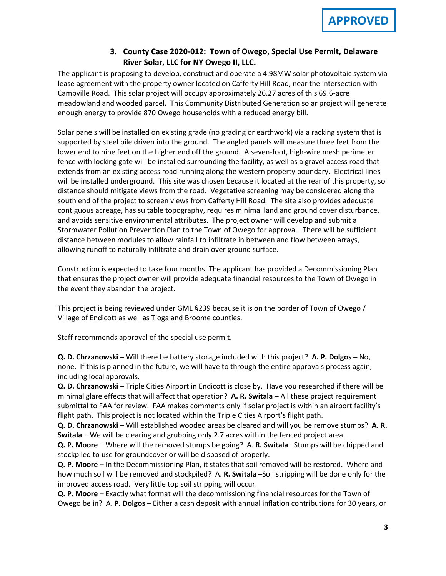# **3. County Case 2020-012: Town of Owego, Special Use Permit, Delaware River Solar, LLC for NY Owego II, LLC.**

The applicant is proposing to develop, construct and operate a 4.98MW solar photovoltaic system via lease agreement with the property owner located on Cafferty Hill Road, near the intersection with Campville Road. This solar project will occupy approximately 26.27 acres of this 69.6-acre meadowland and wooded parcel. This Community Distributed Generation solar project will generate enough energy to provide 870 Owego households with a reduced energy bill.

Solar panels will be installed on existing grade (no grading or earthwork) via a racking system that is supported by steel pile driven into the ground. The angled panels will measure three feet from the lower end to nine feet on the higher end off the ground. A seven-foot, high-wire mesh perimeter fence with locking gate will be installed surrounding the facility, as well as a gravel access road that extends from an existing access road running along the western property boundary. Electrical lines will be installed underground. This site was chosen because it located at the rear of this property, so distance should mitigate views from the road. Vegetative screening may be considered along the south end of the project to screen views from Cafferty Hill Road. The site also provides adequate contiguous acreage, has suitable topography, requires minimal land and ground cover disturbance, and avoids sensitive environmental attributes. The project owner will develop and submit a Stormwater Pollution Prevention Plan to the Town of Owego for approval. There will be sufficient distance between modules to allow rainfall to infiltrate in between and flow between arrays, allowing runoff to naturally infiltrate and drain over ground surface.

Construction is expected to take four months. The applicant has provided a Decommissioning Plan that ensures the project owner will provide adequate financial resources to the Town of Owego in the event they abandon the project.

This project is being reviewed under GML §239 because it is on the border of Town of Owego / Village of Endicott as well as Tioga and Broome counties.

Staff recommends approval of the special use permit.

**Q. D. Chrzanowski** – Will there be battery storage included with this project? **A. P. Dolgos** – No, none. If this is planned in the future, we will have to through the entire approvals process again, including local approvals.

**Q. D. Chrzanowski** – Triple Cities Airport in Endicott is close by. Have you researched if there will be minimal glare effects that will affect that operation? **A. R. Switala** – All these project requirement submittal to FAA for review. FAA makes comments only if solar project is within an airport facility's flight path. This project is not located within the Triple Cities Airport's flight path.

**Q. D. Chrzanowski** – Will established wooded areas be cleared and will you be remove stumps? **A. R. Switala** – We will be clearing and grubbing only 2.7 acres within the fenced project area.

**Q. P. Moore** – Where will the removed stumps be going? A. **R. Switala** –Stumps will be chipped and stockpiled to use for groundcover or will be disposed of properly.

**Q. P. Moore** – In the Decommissioning Plan, it states that soil removed will be restored. Where and how much soil will be removed and stockpiled? A. **R. Switala** –Soil stripping will be done only for the improved access road. Very little top soil stripping will occur.

**Q. P. Moore** – Exactly what format will the decommissioning financial resources for the Town of Owego be in? A. **P. Dolgos** – Either a cash deposit with annual inflation contributions for 30 years, or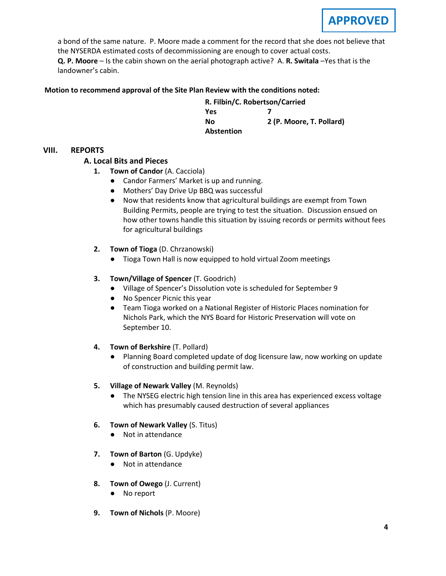a bond of the same nature. P. Moore made a comment for the record that she does not believe that the NYSERDA estimated costs of decommissioning are enough to cover actual costs.

**Q. P. Moore** – Is the cabin shown on the aerial photograph active? A. **R. Switala** –Yes that is the landowner's cabin.

## **Motion to recommend approval of the Site Plan Review with the conditions noted:**

**R. Filbin/C. Robertson/Carried Yes 7 No 2 (P. Moore, T. Pollard) Abstention**

### **VIII. REPORTS**

### **A. A. Local Bits and Pieces**

- **1. Town of Candor** (A. Cacciola)
	- Candor Farmers' Market is up and running.
	- Mothers' Day Drive Up BBQ was successful
	- Now that residents know that agricultural buildings are exempt from Town Building Permits, people are trying to test the situation. Discussion ensued on how other towns handle this situation by issuing records or permits without fees for agricultural buildings
- **2. Town of Tioga** (D. Chrzanowski)
	- Tioga Town Hall is now equipped to hold virtual Zoom meetings
- **3. Town/Village of Spencer** (T. Goodrich)
	- Village of Spencer's Dissolution vote is scheduled for September 9
	- No Spencer Picnic this year
	- Team Tioga worked on a National Register of Historic Places nomination for Nichols Park, which the NYS Board for Historic Preservation will vote on September 10.
- **4. Town of Berkshire** (T. Pollard)
	- Planning Board completed update of dog licensure law, now working on update of construction and building permit law.
- **5. Village of Newark Valley** (M. Reynolds)
	- The NYSEG electric high tension line in this area has experienced excess voltage which has presumably caused destruction of several appliances
- **6. Town of Newark Valley** (S. Titus)
	- Not in attendance
- **7. Town of Barton** (G. Updyke)
	- Not in attendance
- **8. Town of Owego** (J. Current)
	- No report
- **9. Town of Nichols** (P. Moore)